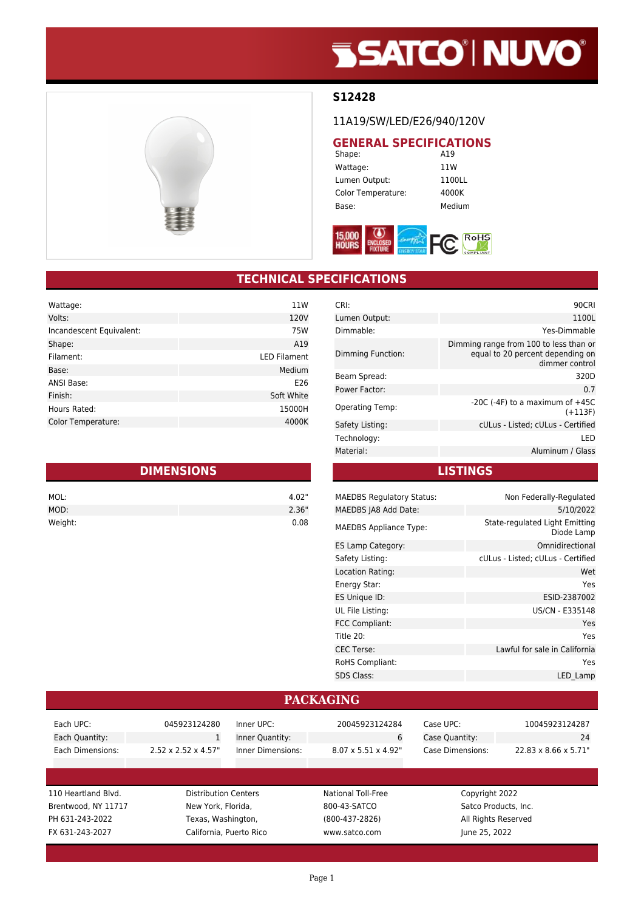# **SSATCO' NUVO'**



### **S12428**

11A19/SW/LED/E26/940/120V

# **GENERAL SPECIFICATIONS**<br>Shape: **A19**

Shape: Wattage: 11W Lumen Output: 1100LL Color Temperature: 4000K Base: Medium



## **TECHNICAL SPECIFICATIONS**

| Wattage:                 | 11W                 |
|--------------------------|---------------------|
| Volts:                   | 120V                |
| Incandescent Equivalent: | 75W                 |
| Shape:                   | A19                 |
| Filament:                | <b>LED Filament</b> |
| Base:                    | Medium              |
| ANSI Base:               | E26                 |
| Finish:                  | Soft White          |
| Hours Rated:             | 15000H              |
| Color Temperature:       | 4000K               |

| <b>DIMENSIONS</b> |       |  |
|-------------------|-------|--|
| MOL:              | 4.02" |  |
| MOD:              | 2.36" |  |
| Weight:           | 0.08  |  |

| CRI:                   | 90CRI                                                                                        |
|------------------------|----------------------------------------------------------------------------------------------|
| Lumen Output:          | 1100L                                                                                        |
| Dimmable:              | Yes-Dimmable                                                                                 |
| Dimming Function:      | Dimming range from 100 to less than or<br>equal to 20 percent depending on<br>dimmer control |
| Beam Spread:           | 320D                                                                                         |
| Power Factor:          | 0.7                                                                                          |
| <b>Operating Temp:</b> | -20C (-4F) to a maximum of $+45C$<br>$(+113F)$                                               |
| Safety Listing:        | cULus - Listed; cULus - Certified                                                            |
| Technology:            | LED                                                                                          |
| Material:              | Aluminum / Glass                                                                             |
|                        |                                                                                              |

**LISTINGS**

| <b>MAEDBS Regulatory Status:</b> | Non Federally-Regulated                      |
|----------------------------------|----------------------------------------------|
| MAEDBS JA8 Add Date:             | 5/10/2022                                    |
| <b>MAEDBS Appliance Type:</b>    | State-regulated Light Emitting<br>Diode Lamp |
| ES Lamp Category:                | Omnidirectional                              |
| Safety Listing:                  | cULus - Listed; cULus - Certified            |
| Location Rating:                 | Wet                                          |
| Energy Star:                     | Yes                                          |
| ES Unique ID:                    | ESID-2387002                                 |
| UL File Listing:                 | US/CN - E335148                              |
| FCC Compliant:                   | Yes                                          |
| Title 20:                        | Yes                                          |
| <b>CEC Terse:</b>                | Lawful for sale in California                |
| RoHS Compliant:                  | Yes                                          |
| <b>SDS Class:</b>                | LED Lamp                                     |
|                                  |                                              |

#### **PACKAGING**

| Each UPC:           | 045923124280                     | Inner UPC:               | 20045923124284                   | Case UPC:            | 10045923124287                    |
|---------------------|----------------------------------|--------------------------|----------------------------------|----------------------|-----------------------------------|
| Each Quantity:      | $\mathbf{1}$                     | Inner Quantity:          | 6                                | Case Quantity:       | 24                                |
| Each Dimensions:    | $2.52 \times 2.52 \times 4.57$ " | <b>Inner Dimensions:</b> | $8.07 \times 5.51 \times 4.92$ " | Case Dimensions:     | $22.83 \times 8.66 \times 5.71$ " |
|                     |                                  |                          |                                  |                      |                                   |
|                     |                                  |                          |                                  |                      |                                   |
| 110 Heartland Blvd. | <b>Distribution Centers</b>      |                          | National Toll-Free               | Copyright 2022       |                                   |
| Brentwood, NY 11717 | New York, Florida,               |                          | 800-43-SATCO                     | Satco Products, Inc. |                                   |
|                     | Texas, Washington,               |                          | $(800-437-2826)$                 | All Rights Reserved  |                                   |
| PH 631-243-2022     |                                  |                          |                                  |                      |                                   |
| FX 631-243-2027     |                                  | California, Puerto Rico  | www.satco.com                    | June 25, 2022        |                                   |